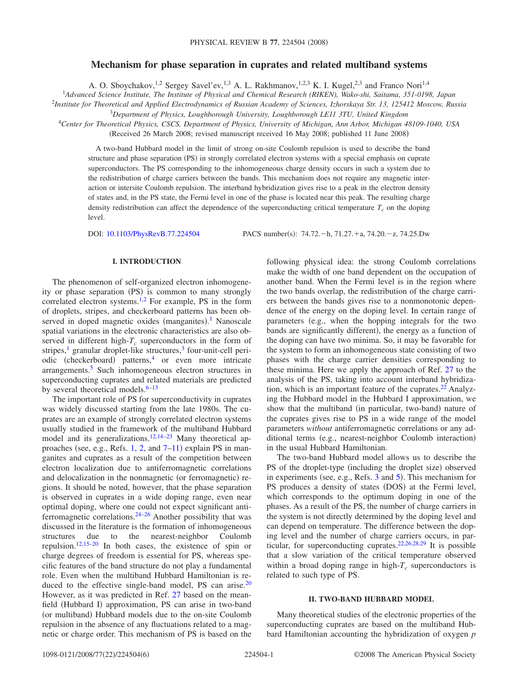# **Mechanism for phase separation in cuprates and related multiband systems**

A. O. Sboychakov,<sup>1,2</sup> Sergey Savel'ev,<sup>1,3</sup> A. L. Rakhmanov,<sup>1,2,3</sup> K. I. Kugel,<sup>2,3</sup> and Franco Nori<sup>1,4</sup>

1 *Advanced Science Institute, The Institute of Physical and Chemical Research (RIKEN), Wako-shi, Saitama, 351-0198, Japan* 2 *Institute for Theoretical and Applied Electrodynamics of Russian Academy of Sciences, Izhorskaya Str. 13, 125412 Moscow, Russia*

<sup>3</sup>*Department of Physics, Loughborough University, Loughborough LE11 3TU, United Kingdom*

<sup>4</sup>*Center for Theoretical Physics, CSCS, Department of Physics, University of Michigan, Ann Arbor, Michigan 48109-1040, USA*

(Received 26 March 2008; revised manuscript received 16 May 2008; published 11 June 2008)

A two-band Hubbard model in the limit of strong on-site Coulomb repulsion is used to describe the band structure and phase separation (PS) in strongly correlated electron systems with a special emphasis on cuprate superconductors. The PS corresponding to the inhomogeneous charge density occurs in such a system due to the redistribution of charge carriers between the bands. This mechanism does not require any magnetic interaction or intersite Coulomb repulsion. The interband hybridization gives rise to a peak in the electron density of states and, in the PS state, the Fermi level in one of the phase is located near this peak. The resulting charge density redistribution can affect the dependence of the superconducting critical temperature  $T_c$  on the doping level.

DOI: [10.1103/PhysRevB.77.224504](http://dx.doi.org/10.1103/PhysRevB.77.224504)

:  $74.72 - h$ ,  $71.27 + a$ ,  $74.20 - z$ ,  $74.25 \text{Dw}$ 

### **I. INTRODUCTION**

The phenomenon of self-organized electron inhomogeneity or phase separation (PS) is common to many strongly correlated electron systems.<sup>1,[2](#page-4-1)</sup> For example, PS in the form of droplets, stripes, and checkerboard patterns has been ob-served in doped magnetic oxides (manganites).<sup>[1](#page-4-0)</sup> Nanoscale spatial variations in the electronic characteristics are also observed in different high- $T_c$  superconductors in the form of stripes, $\frac{1}{2}$  granular droplet-like structures, $\frac{3}{2}$  four-unit-cell periodic (checkerboard) patterns,<sup>4</sup> or even more intricate arrangements[.5](#page-4-4) Such inhomogeneous electron structures in superconducting cuprates and related materials are predicted by several theoretical models. $6-13$ 

The important role of PS for superconductivity in cuprates was widely discussed starting from the late 1980s. The cuprates are an example of strongly correlated electron systems usually studied in the framework of the multiband Hubbard model and its generalizations.<sup>12[,14](#page-4-8)[–23](#page-4-9)</sup> Many theoretical approaches (see, e.g., Refs.  $1, 2$  $1, 2$ , and  $7-11$  $7-11$ ) explain PS in manganites and cuprates as a result of the competition between electron localization due to antiferromagnetic correlations and delocalization in the nonmagnetic (or ferromagnetic) regions. It should be noted, however, that the phase separation is observed in cuprates in a wide doping range, even near optimal doping, where one could not expect significant antiferromagnetic correlations[.24–](#page-4-12)[26](#page-4-13) Another possibility that was discussed in the literature is the formation of inhomogeneous structures due to the nearest-neighbor Coulomb repulsion[.12,](#page-4-7)[15](#page-4-14)[–20](#page-4-15) In both cases, the existence of spin or charge degrees of freedom is essential for PS, whereas specific features of the band structure do not play a fundamental role. Even when the multiband Hubbard Hamiltonian is reduced to the effective single-band model, PS can arise.<sup>20</sup> However, as it was predicted in Ref. [27](#page-4-16) based on the meanfield (Hubbard I) approximation, PS can arise in two-band (or multiband) Hubbard models due to the on-site Coulomb repulsion in the absence of any fluctuations related to a magnetic or charge order. This mechanism of PS is based on the

following physical idea: the strong Coulomb correlations make the width of one band dependent on the occupation of another band. When the Fermi level is in the region where the two bands overlap, the redistribution of the charge carriers between the bands gives rise to a nonmonotonic dependence of the energy on the doping level. In certain range of parameters (e.g., when the hopping integrals for the two bands are significantly different), the energy as a function of the doping can have two minima. So, it may be favorable for the system to form an inhomogeneous state consisting of two phases with the charge carrier densities corresponding to these minima. Here we apply the approach of Ref. [27](#page-4-16) to the analysis of the PS, taking into account interband hybridization, which is an important feature of the cuprates. $^{22}$  Analyzing the Hubbard model in the Hubbard I approximation, we show that the multiband (in particular, two-band) nature of the cuprates gives rise to PS in a wide range of the model parameters *without* antiferromagnetic correlations or any additional terms (e.g., nearest-neighbor Coulomb interaction) in the usual Hubbard Hamiltonian.

The two-band Hubbard model allows us to describe the PS of the droplet-type (including the droplet size) observed in experiments (see, e.g., Refs. [3](#page-4-2) and [5](#page-4-4)). This mechanism for PS produces a density of states (DOS) at the Fermi level, which corresponds to the optimum doping in one of the phases. As a result of the PS, the number of charge carriers in the system is not directly determined by the doping level and can depend on temperature. The difference between the doping level and the number of charge carriers occurs, in par-ticular, for superconducting cuprates.<sup>22,[26](#page-4-13)[,28](#page-4-18)[,29](#page-4-19)</sup> It is possible that a slow variation of the critical temperature observed within a broad doping range in high- $T_c$  superconductors is related to such type of PS.

### **II. TWO-BAND HUBBARD MODEL**

Many theoretical studies of the electronic properties of the superconducting cuprates are based on the multiband Hubbard Hamiltonian accounting the hybridization of oxygen *p*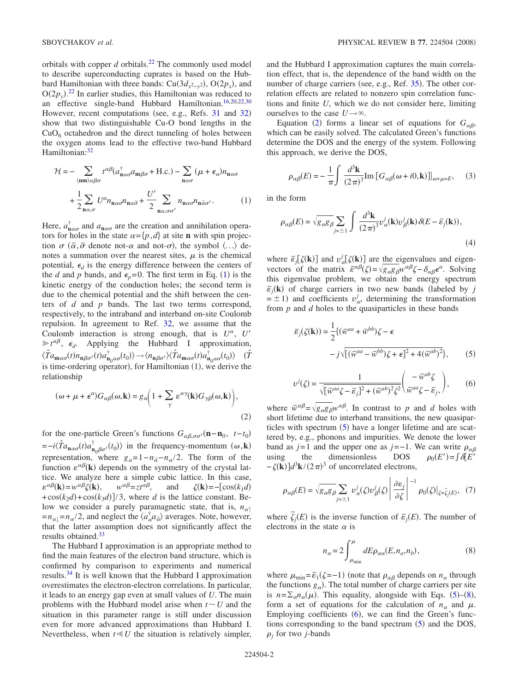orbitals with copper  $d$  orbitals.<sup>22</sup> The commonly used model to describe superconducting cuprates is based on the Hubbard Hamiltonian with three bands: Cu( $3d_{x^2-y^2}$ ), O( $2p_x$ ), and  $O(2p_y)$ .<sup>[22](#page-4-17)</sup> In earlier studies, this Hamiltonian was reduced to an effective single-band Hubbard Hamiltonian[.16,](#page-4-20)[20](#page-4-15)[,22](#page-4-17)[,30](#page-4-21) However, recent computations (see, e.g., Refs. [31](#page-4-22) and [32](#page-4-23)) show that two distinguishable Cu-O bond lengths in the  $CuO<sub>6</sub>$  octahedron and the direct tunneling of holes between the oxygen atoms lead to the effective two-band Hubbard Hamiltonian:<sup>32</sup>

<span id="page-1-0"></span>
$$
\mathcal{H} = -\sum_{\langle \mathbf{n}\mathbf{n}\rangle \alpha \beta \sigma} t^{\alpha\beta} (a_{\mathbf{n}\alpha\sigma}^{\dagger} a_{\mathbf{m}\beta\sigma} + \text{H.c.}) - \sum_{\mathbf{n}\alpha\sigma} (\mu + \epsilon_{\alpha}) n_{\mathbf{n}\alpha\sigma} + \frac{1}{2} \sum_{\mathbf{n}\alpha,\sigma} U^{\alpha} n_{\mathbf{n}\alpha\sigma} n_{\mathbf{n}\alpha\bar{\sigma}} + \frac{U'}{2} \sum_{\mathbf{n}\alpha,\sigma\sigma'} n_{\mathbf{n}\alpha\sigma} n_{\mathbf{n}\bar{\alpha}\sigma'}.
$$
 (1)

Here,  $a_{\mathbf{n} \alpha \sigma}^{\dagger}$  and  $a_{\mathbf{n} \alpha \sigma}$  are the creation and annihilation operators for holes in the state  $\alpha = \{p, d\}$  at site **n** with spin projection  $\sigma$  ( $\bar{\alpha}, \bar{\sigma}$  denote not- $\alpha$  and not- $\sigma$ ), the symbol  $\langle ... \rangle$  denotes a summation over the nearest sites,  $\mu$  is the chemical potential,  $\epsilon_d$  is the energy difference between the centers of the *d* and *p* bands, and  $\epsilon_p = 0$ . The first term in Eq. ([1](#page-1-0)) is the kinetic energy of the conduction holes; the second term is due to the chemical potential and the shift between the centers of *d* and *p* bands. The last two terms correspond, respectively, to the intraband and interband on-site Coulomb repulsion. In agreement to Ref. [32,](#page-4-23) we assume that the Coulomb interaction is strong enough, that is  $U^{\alpha}$ ,  $U'$  $\geq t^{\alpha\beta}$ ,  $\epsilon_d$ . Applying the Hubbard I approximation,  $\langle \hat{T}a_{\mathbf{m}\alpha\sigma}(t)n_{\mathbf{n}\beta\sigma'}(t)a_{\mathbf{n}_0\alpha\sigma}^{\dagger}(t_0)\rangle \rightarrow \langle n_{\mathbf{n}\beta\sigma'}\rangle \langle \hat{T}a_{\mathbf{m}\alpha\sigma}(t)a_{\mathbf{n}_0\alpha\sigma}^{\dagger}(t_0)\rangle$  ( $\hat{T}$ is time-ordering operator), for Hamiltonian (1), we derive the relationship

<span id="page-1-1"></span>
$$
(\omega + \mu + \epsilon^{\alpha})G_{\alpha\beta}(\omega, \mathbf{k}) = g_{\alpha}\left(1 + \sum_{\gamma} \epsilon^{\alpha\gamma}(\mathbf{k})G_{\gamma\beta}(\omega, \mathbf{k})\right),\tag{2}
$$

for the one-particle Green's functions  $G_{\alpha\beta,\sigma\sigma'}(\mathbf{n}-\mathbf{n}_0, t-t_0)$  $=-i\langle \hat{T}a_{\mathbf{n}\alpha\sigma}(t)a_{\mathbf{n}_0\beta\sigma'}^{\dagger}(t_0)\rangle$  in the frequency-momentum  $(\omega, \mathbf{k})$ representation, where  $g_{\alpha} = 1 - n_{\overline{\alpha}} - n_{\alpha}/2$ . The form of the function  $\varepsilon^{\alpha\beta}(\mathbf{k})$  depends on the symmetry of the crystal lattice. We analyze here a simple cubic lattice. In this case,  $\varepsilon^{\alpha\beta}(\mathbf{k}) = w^{\alpha\beta}\zeta(\mathbf{k})$  $w^{\alpha\beta} = z t^{\alpha\beta}$ , and =− cos*k*1*d*-  $+\cos(k_2 d) + \cos(k_3 d)$  / 3, where *d* is the lattice constant. Below we consider a purely paramagnetic state, that is,  $n_{\alpha\uparrow}$  $=n_{\alpha\downarrow}=n_{\alpha}/2$ , and neglect the  $\langle a_{\alpha}^{\dagger} a_{\overline{\alpha}} \rangle$  averages. Note, however, that the latter assumption does not significantly affect the results obtained[.33](#page-4-24)

The Hubbard I approximation is an appropriate method to find the main features of the electron band structure, which is confirmed by comparison to experiments and numerical results[.34](#page-4-25) It is well known that the Hubbard I approximation overestimates the electron-electron correlations. In particular, it leads to an energy gap even at small values of *U*. The main problems with the Hubbard model arise when  $t \sim U$  and the situation in this parameter range is still under discussion even for more advanced approximations than Hubbard I. Nevertheless, when  $t \ll U$  the situation is relatively simpler,

and the Hubbard I approximation captures the main correlation effect, that is, the dependence of the band width on the number of charge carriers (see, e.g., Ref. [35](#page-5-0)). The other correlation effects are related to nonzero spin correlation functions and finite *U*, which we do not consider here, limiting ourselves to the case  $U \rightarrow \infty$ .

Equation ([2](#page-1-1)) forms a linear set of equations for  $G_{\alpha\beta}$ , which can be easily solved. The calculated Green's functions determine the DOS and the energy of the system. Following this approach, we derive the DOS,

$$
\rho_{\alpha\beta}(E) = -\frac{1}{\pi} \int \frac{d^3 \mathbf{k}}{(2\pi)^3} \text{Im} \left[ G_{\alpha\beta}(\omega + i0, \mathbf{k}) \right] \big|_{\omega + \mu = E}, \quad (3)
$$

<span id="page-1-2"></span>in the form

$$
\rho_{\alpha\beta}(E) = \sqrt{g_{\alpha}g_{\beta}} \sum_{j=\pm 1} \int \frac{d^3 \mathbf{k}}{(2\pi)^3} v_{\alpha}^j(\mathbf{k}) v_{\beta}^j(\mathbf{k}) \delta(E - \bar{\varepsilon}_j(\mathbf{k})),
$$
\n(4)

where  $\bar{\epsilon}_j[\zeta(\mathbf{k})]$  and  $v^j_{\alpha}[\zeta(\mathbf{k})]$  are the eigenvalues and eigenvectors of the matrix  $\bar{\epsilon}^{\alpha\beta}(\zeta) = \sqrt{g_{\alpha\beta}}g^{\mu\alpha\beta}\zeta - \delta_{\alpha\beta}\epsilon^{\alpha}$ . Solving this eigenvalue problem, we obtain the energy spectrum  $\bar{\epsilon}_j(\mathbf{k})$  of charge carriers in two new bands (labeled by *j*  $= \pm 1$ ) and coefficients  $v_{\alpha}^{j}$ , determining the transformation from *p* and *d* holes to the quasiparticles in these bands

$$
\overline{\varepsilon}_j(\zeta(\mathbf{k})) = \frac{1}{2} \{ (\overline{w}^{aa} + \overline{w}^{bb}) \zeta - \epsilon \n- j \sqrt{[(\overline{w}^{aa} - \overline{w}^{bb}) \zeta + \epsilon]^2 + 4(\overline{w}^{ab})^2} \},\n\tag{5}
$$

$$
v^{j}(\zeta) = \frac{1}{\sqrt{\left[\bar{w}^{aa}\zeta - \bar{\varepsilon}_{j}\right]^{2} + (\bar{w}^{ab})^{2}\zeta^{2}}} \left(\frac{-\bar{w}^{ab}\zeta}{\bar{w}^{aa}\zeta - \bar{\varepsilon}_{j}},\right),\qquad(6)
$$

<span id="page-1-4"></span>where  $\bar{w}^{\alpha\beta} = \sqrt{g_{\alpha}g_{\beta}w^{\alpha\beta}}$ . In contrast to p and d holes with short lifetime due to interband transitions, the new quasiparticles with spectrum  $(5)$  $(5)$  $(5)$  have a longer lifetime and are scattered by, e.g., phonons and impurities. We denote the lower band as *j*=1 and the upper one as *j*=−1. We can write  $\rho_{\alpha\beta}$ using the dimensionless DOS  $=\int \delta \left[E\right]$  $-\zeta(\mathbf{k})\right]d^3\mathbf{k}/(2\pi)^3$  of uncorrelated electrons,

$$
\rho_{\alpha\beta}(E) = \sqrt{g_{\alpha\beta}} \sum_{j=\pm 1} \left. v_{\alpha}^{j}(\zeta) v_{\beta}^{j}(\zeta) \right| \left. \frac{\partial \varepsilon_{j}}{\partial \zeta} \right|^{-1} \rho_{0}(\zeta) \big|_{\zeta = \overline{\zeta}_{j}(E)}, \tag{7}
$$

where  $\overline{\zeta}_j(E)$  is the inverse function of  $\overline{\varepsilon}_j(E)$ . The number of electrons in the state  $\alpha$  is

$$
n_{\alpha} = 2 \int_{\mu_{\min}}^{\mu} dE \rho_{\alpha\alpha}(E, n_a, n_b), \qquad (8)
$$

<span id="page-1-3"></span>where  $\mu_{\min} = \bar{\varepsilon}_1(\zeta = -1)$  (note that  $\rho_{\alpha\beta}$  depends on  $n_{\alpha}$  through the functions  $g_{\alpha}$ ). The total number of charge carriers per site is  $n = \sum_{\alpha} n_{\alpha}(\mu)$ . This equality, alongside with Eqs. ([5](#page-1-2))–([8](#page-1-3)), form a set of equations for the calculation of  $n_{\alpha}$  and  $\mu$ . Employing coefficients  $(6)$  $(6)$  $(6)$ , we can find the Green's functions corresponding to the band spectrum  $(5)$  $(5)$  $(5)$  and the DOS,  $\rho_i$  for two *j*-bands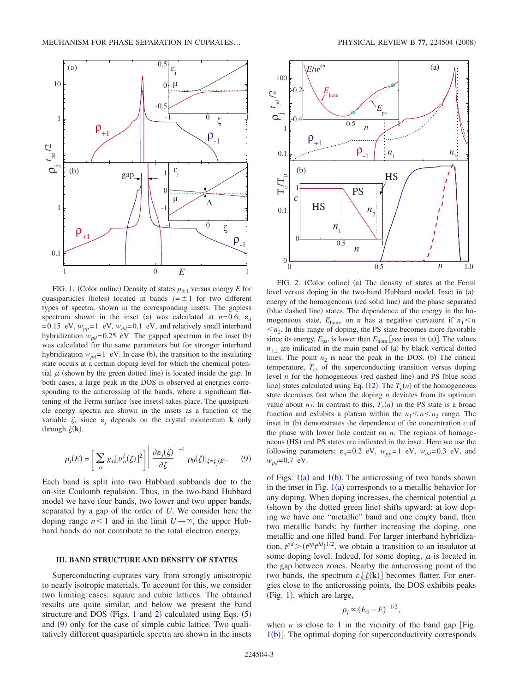<span id="page-2-0"></span>

FIG. 1. (Color online) Density of states  $\rho_{\pm 1}$  versus energy *E* for quasiparticles (holes) located in bands  $j = \pm 1$  for two different types of spectra, shown in the corresponding insets. The gapless spectrum shown in the inset (a) was calculated at  $n=0.6$ ,  $\varepsilon_d$ =0.15 eV,  $w_{pp}$ =1 eV,  $w_{dd}$ =0.1 eV, and relatively small interband hybridization  $w_{pd}$ =0.25 eV. The gapped spectrum in the inset (b) was calculated for the same parameters but for stronger interband hybridization  $w_{pd}$ =1 eV. In case (b), the transition to the insulating state occurs at a certain doping level for which the chemical potential  $\mu$  (shown by the green dotted line) is located inside the gap. In both cases, a large peak in the DOS is observed at energies corresponding to the anticrossing of the bands, where a significant flattening of the Fermi surface (see insets) takes place. The quasiparticle energy spectra are shown in the insets as a function of the variable  $\zeta$ , since  $\varepsilon_j$  depends on the crystal momentum **k** only through  $\zeta(\mathbf{k})$ .

$$
\rho_j(E) = \left[ \sum_{\alpha} g_{\alpha} [v_{\alpha}^j(\zeta)]^2 \right] \left| \frac{\partial \varepsilon_j(\zeta)}{\partial \zeta} \right|^{-1} \rho_0(\zeta) \big|_{\zeta = \bar{\zeta}_j(E)}.
$$
 (9)

<span id="page-2-2"></span>Each band is split into two Hubbard subbands due to the on-site Coulomb repulsion. Thus, in the two-band Hubbard model we have four bands, two lower and two upper bands, separated by a gap of the order of *U*. We consider here the doping range  $n<1$  and in the limit  $U\rightarrow\infty$ , the upper Hubbard bands do not contribute to the total electron energy.

#### **III. BAND STRUCTURE AND DENSITY OF STATES**

Superconducting cuprates vary from strongly anisotropic to nearly isotropic materials. To account for this, we consider two limiting cases: square and cubic lattices. The obtained results are quite similar, and below we present the band structure and DOS (Figs. [1](#page-2-0) and [2](#page-2-1)) calculated using Eqs.  $(5)$  $(5)$  $(5)$ and ([9](#page-2-2)) only for the case of simple cubic lattice. Two qualitatively different quasiparticle spectra are shown in the insets

<span id="page-2-1"></span>

FIG. 2. (Color online) (a) The density of states at the Fermi level versus doping in the two-band Hubbard model. Inset in (a): energy of the homogeneous (red solid line) and the phase separated (blue dashed line) states. The dependence of the energy in the homogeneous state,  $E_{\text{hom}}$ , on *n* has a negative curvature if  $n_1 < n$  $n_2$ . In this range of doping, the PS state becomes more favorable since its energy,  $E_{\text{ps}}$ , is lower than  $E_{\text{hom}}$  [see inset in (a)]. The values  $n_{1,2}$  are indicated in the main panel of (a) by black vertical dotted lines. The point  $n_2$  is near the peak in the DOS. (b) The critical temperature,  $T_c$ , of the superconducting transition versus doping level  $n$  for the homogeneous (red dashed line) and PS (blue solid line) states calculated using Eq.  $(12)$  $(12)$  $(12)$ . The  $T_c(n)$  of the homogeneous state decreases fast when the doping *n* deviates from its optimum value about  $n_2$ . In contrast to this,  $T_c(n)$  in the PS state is a broad function and exhibits a plateau within the  $n_1 < n < n_2$  range. The inset in  $(b)$  demonstrates the dependence of the concentration  $c$  of the phase with lower hole content on *n*. The regions of homogeneous (HS) and PS states are indicated in the inset. Here we use the following parameters:  $\varepsilon_d = 0.2$  eV,  $w_{pp} = 1$  eV,  $w_{dd} = 0.3$  eV, and  $w_{pd}$ =0.7 eV.

of Figs.  $1(a)$  $1(a)$  and  $1(b)$ . The anticrossing of two bands shown in the inset in Fig.  $1(a)$  $1(a)$  corresponds to a metallic behavior for any doping. When doping increases, the chemical potential  $\mu$ (shown by the dotted green line) shifts upward: at low doping we have one "metallic" band and one empty band; then two metallic bands; by further increasing the doping, one metallic and one filled band. For larger interband hybridization,  $t^{pd}$   $\geq (t^{pp}t^{dd})^{1/2}$ , we obtain a transition to an insulator at some doping level. Indeed, for some doping,  $\mu$  is located in the gap between zones. Nearby the anticrossing point of the two bands, the spectrum  $\varepsilon_j[\zeta(\mathbf{k})]$  becomes flatter. For energies close to the anticrossing points, the DOS exhibits peaks  $(Fig. 1)$  $(Fig. 1)$  $(Fig. 1)$ , which are large,

$$
\rho_j \propto (E_0 - E)^{-1/2},
$$

when  $n$  is close to 1 in the vicinity of the band gap [Fig.  $1(b)$  $1(b)$ ]. The optimal doping for superconductivity corresponds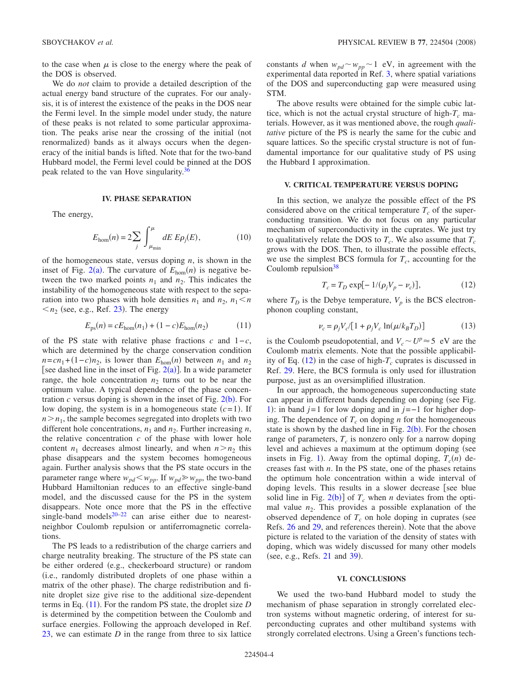to the case when  $\mu$  is close to the energy where the peak of the DOS is observed.

We do *not* claim to provide a detailed description of the actual energy band structure of the cuprates. For our analysis, it is of interest the existence of the peaks in the DOS near the Fermi level. In the simple model under study, the nature of these peaks is not related to some particular approximation. The peaks arise near the crossing of the initial (not renormalized) bands as it always occurs when the degeneracy of the initial bands is lifted. Note that for the two-band Hubbard model, the Fermi level could be pinned at the DOS peak related to the van Hove singularity.<sup>3</sup>

#### **IV. PHASE SEPARATION**

The energy,

$$
E_{\text{hom}}(n) = 2\sum_{j} \int_{\mu_{\text{min}}}^{\mu} dE \, E \rho_{j}(E), \tag{10}
$$

of the homogeneous state, versus doping *n*, is shown in the inset of Fig. [2](#page-2-1)(a). The curvature of  $E_{\text{hom}}(n)$  is negative between the two marked points  $n_1$  and  $n_2$ . This indicates the instability of the homogeneous state with respect to the separation into two phases with hole densities  $n_1$  and  $n_2$ ,  $n_1 < n$  $\langle n_2 \rangle$  (see, e.g., Ref. [23](#page-4-9)). The energy

$$
E_{\rm ps}(n) = cE_{\rm hom}(n_1) + (1 - c)E_{\rm hom}(n_2) \tag{11}
$$

<span id="page-3-1"></span>of the PS state with relative phase fractions *c* and 1−*c*, which are determined by the charge conservation condition  $n = cn_1 + (1 - c)n_2$ , is lower than  $E_{hom}(n)$  between  $n_1$  and  $n_2$ [see dashed line in the inset of Fig.  $2(a)$  $2(a)$ ]. In a wide parameter range, the hole concentration  $n_2$  turns out to be near the optimum value. A typical dependence of the phase concentration  $c$  versus doping is shown in the inset of Fig.  $2(b)$  $2(b)$ . For low doping, the system is in a homogeneous state  $(c=1)$ . If  $n > n_1$ , the sample becomes segregated into droplets with two different hole concentrations,  $n_1$  and  $n_2$ . Further increasing  $n$ , the relative concentration *c* of the phase with lower hole content  $n_1$  decreases almost linearly, and when  $n > n_2$  this phase disappears and the system becomes homogeneous again. Further analysis shows that the PS state occurs in the parameter range where  $w_{pd} < w_{pp}$ . If  $w_{pd} \geq w_{pp}$ , the two-band Hubbard Hamiltonian reduces to an effective single-band model, and the discussed cause for the PS in the system disappears. Note once more that the PS in the effective single-band models $20-22$  $20-22$  can arise either due to nearestneighbor Coulomb repulsion or antiferromagnetic correlations.

The PS leads to a redistribution of the charge carriers and charge neutrality breaking. The structure of the PS state can be either ordered (e.g., checkerboard structure) or random i.e., randomly distributed droplets of one phase within a matrix of the other phase). The charge redistribution and finite droplet size give rise to the additional size-dependent terms in Eq. ([11](#page-3-1)). For the random PS state, the droplet size *D* is determined by the competition between the Coulomb and surface energies. Following the approach developed in Ref. [23,](#page-4-9) we can estimate *D* in the range from three to six lattice constants *d* when  $w_{pd} \sim w_{pp} \sim 1$  eV, in agreement with the experimental data reported in Ref. [3,](#page-4-2) where spatial variations of the DOS and superconducting gap were measured using STM.

The above results were obtained for the simple cubic lattice, which is not the actual crystal structure of high- $T_c$  materials. However, as it was mentioned above, the rough *qualitative* picture of the PS is nearly the same for the cubic and square lattices. So the specific crystal structure is not of fundamental importance for our qualitative study of PS using the Hubbard I approximation.

### **V. CRITICAL TEMPERATURE VERSUS DOPING**

In this section, we analyze the possible effect of the PS considered above on the critical temperature  $T_c$  of the superconducting transition. We do not focus on any particular mechanism of superconductivity in the cuprates. We just try to qualitatively relate the DOS to  $T_c$ . We also assume that  $T_c$ grows with the DOS. Then, to illustrate the possible effects, we use the simplest BCS formula for  $T_c$ , accounting for the Coulomb repulsion $38$ 

$$
T_c = T_D \exp[-1/(\rho_j V_p - \nu_c)],\tag{12}
$$

<span id="page-3-0"></span>where  $T_D$  is the Debye temperature,  $V_p$  is the BCS electronphonon coupling constant,

$$
\nu_c = \rho_j V_c / [1 + \rho_j V_c \ln(\mu / k_B T_D)] \tag{13}
$$

is the Coulomb pseudopotential, and  $V_c \sim U^p \approx 5$  eV are the Coulomb matrix elements. Note that the possible applicability of Eq.  $(12)$  $(12)$  $(12)$  in the case of high- $T_c$  cuprates is discussed in Ref. [29.](#page-4-19) Here, the BCS formula is only used for illustration purpose, just as an oversimplified illustration.

In our approach, the homogeneous superconducting state can appear in different bands depending on doping (see Fig. [1](#page-2-0)): in band *j*=1 for low doping and in *j*=−1 for higher doping. The dependence of  $T_c$  on doping *n* for the homogeneous state is shown by the dashed line in Fig.  $2(b)$  $2(b)$ . For the chosen range of parameters,  $T_c$  is nonzero only for a narrow doping level and achieves a maximum at the optimum doping (see insets in Fig. [1](#page-2-0)). Away from the optimal doping,  $T_c(n)$  decreases fast with *n*. In the PS state, one of the phases retains the optimum hole concentration within a wide interval of doping levels. This results in a slower decrease [see blue solid line in Fig.  $2(b)$  $2(b)$  of  $T_c$  when *n* deviates from the optimal value  $n_2$ . This provides a possible explanation of the observed dependence of  $T_c$  on hole doping in cuprates (see Refs. [26](#page-4-13) and [29,](#page-4-19) and references therein). Note that the above picture is related to the variation of the density of states with doping, which was widely discussed for many other models (see, e.g., Refs. [21](#page-4-26) and [39](#page-5-3)).

#### **VI. CONCLUSIONS**

We used the two-band Hubbard model to study the mechanism of phase separation in strongly correlated electron systems without magnetic ordering, of interest for superconducting cuprates and other multiband systems with strongly correlated electrons. Using a Green's functions tech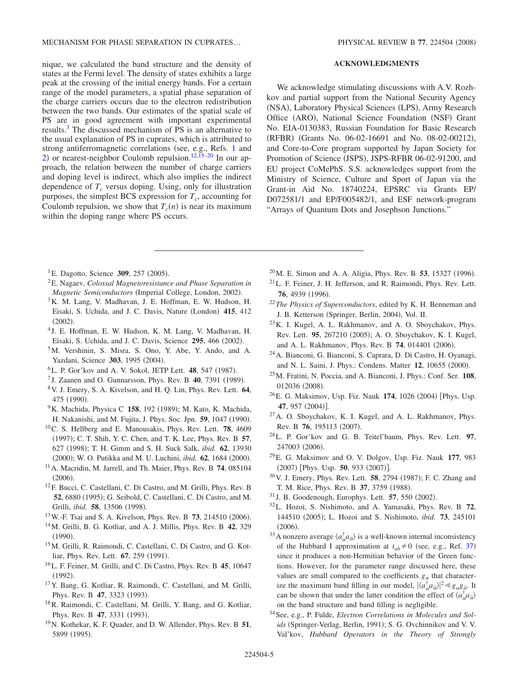nique, we calculated the band structure and the density of states at the Fermi level. The density of states exhibits a large peak at the crossing of the initial energy bands. For a certain range of the model parameters, a spatial phase separation of the charge carriers occurs due to the electron redistribution between the two bands. Our estimates of the spatial scale of PS are in good agreement with important experimental results[.3](#page-4-2) The discussed mechanism of PS is an alternative to the usual explanation of PS in cuprates, which is attributed to strong antiferromagnetic correlations (see, e.g., Refs. [1](#page-4-0) and [2](#page-4-1)) or nearest-neighbor Coulomb repulsion.<sup>12,[15–](#page-4-14)[20](#page-4-15)</sup> In our approach, the relation between the number of charge carriers and doping level is indirect, which also implies the indirect dependence of  $T_c$  versus doping. Using, only for illustration purposes, the simplest BCS expression for  $T_c$ , accounting for Coulomb repulsion, we show that  $T_c(n)$  is near its maximum within the doping range where PS occurs.

- <sup>1</sup>E. Dagotto, Science **309**, 257 (2005).
- <span id="page-4-0"></span>2E. Nagaev, *Colossal Magnetoresistance and Phase Separation in* Magnetic Semiconductors (Imperial College, London, 2002).
- <span id="page-4-2"></span><span id="page-4-1"></span>3K. M. Lang, V. Madhavan, J. E. Hoffman, E. W. Hudson, H. Eisaki, S. Uchida, and J. C. Davis, Nature (London) 415, 412  $(2002).$
- <sup>4</sup> J. E. Hoffman, E. W. Hudson, K. M. Lang, V. Madhavan, H. Eisaki, S. Uchida, and J. C. Davis, Science 295, 466 (2002).
- <span id="page-4-3"></span>5M. Vershinin, S. Misra, S. Ono, Y. Abe, Y. Ando, and A. Yazdani, Science 303, 1995 (2004).
- <span id="page-4-4"></span><sup>6</sup>L. P. Gor'kov and A. V. Sokol, JETP Lett. **48**, 547 (1987).
- <span id="page-4-5"></span><sup>7</sup> J. Zaanen and O. Gunnarsson, Phys. Rev. B **40**, 7391 (1989).
- <span id="page-4-10"></span>8V. J. Emery, S. A. Kivelson, and H. Q. Lin, Phys. Rev. Lett. **64**, 475 (1990).
- <sup>9</sup>K. Machida, Physica C 158, 192 (1989); M. Kato, K. Machida, H. Nakanishi, and M. Fujita, J. Phys. Soc. Jpn. 59, 1047 (1990).
- 10C. S. Hellberg and E. Manousakis, Phys. Rev. Lett. **78**, 4609 (1997); C. T. Shih, Y. C. Chen, and T. K. Lee, Phys. Rev. B 57, 627 (1998); T. H. Gimm and S. H. Suck Salk, *ibid.* 62, 13930 (2000); W. O. Putikka and M. U. Luchini, *ibid.* **62**, 1684 (2000).
- 11A. Macridin, M. Jarrell, and Th. Maier, Phys. Rev. B **74**, 085104  $(2006).$
- <span id="page-4-11"></span><span id="page-4-7"></span>12F. Bucci, C. Castellani, C. Di Castro, and M. Grilli, Phys. Rev. B 52, 6880 (1995); G. Seibold, C. Castellani, C. Di Castro, and M. Grilli, *ibid.* **58**, 13506 (1998).
- <sup>13</sup> W.-F. Tsai and S. A. Kivelson, Phys. Rev. B **73**, 214510 (2006).
- <span id="page-4-6"></span>14M. Grilli, B. G. Kotliar, and A. J. Millis, Phys. Rev. B **42**, 329  $(1990).$
- <span id="page-4-8"></span>15M. Grilli, R. Raimondi, C. Castellani, C. Di Castro, and G. Kotliar, Phys. Rev. Lett. **67**, 259 (1991).
- <span id="page-4-14"></span>16L. F. Feiner, M. Grilli, and C. Di Castro, Phys. Rev. B **45**, 10647  $(1992).$
- <span id="page-4-20"></span>17Y. Bang, G. Kotliar, R. Raimondi, C. Castellani, and M. Grilli, Phys. Rev. B 47, 3323 (1993).
- 18R. Raimondi, C. Castellani, M. Grilli, Y. Bang, and G. Kotliar, Phys. Rev. B 47, 3331 (1993).
- 19N. Kothekar, K. F. Quader, and D. W. Allender, Phys. Rev. B **51**, 5899 (1995).

## **ACKNOWLEDGMENTS**

We acknowledge stimulating discussions with A.V. Rozhkov and partial support from the National Security Agency (NSA), Laboratory Physical Sciences (LPS), Army Research Office (ARO), National Science Foundation (NSF) Grant No. EIA-0130383, Russian Foundation for Basic Research (RFBR) (Grants No. 06-02-16691 and No. 08-02-00212), and Core-to-Core program supported by Japan Society for Promotion of Science (JSPS), JSPS-RFBR 06-02-91200, and EU project CoMePhS. S.S. acknowledges support from the Ministry of Science, Culture and Sport of Japan via the Grant-in Aid No. 18740224, EPSRC via Grants EP/ D072581/1 and EP/F005482/1, and ESF network-program "Arrays of Quantum Dots and Josephson Junctions."

- <span id="page-4-15"></span><sup>20</sup> M. E. Simon and A. A. Aligia, Phys. Rev. B **53**, 15327 (1996).  $^{21}$ L. F. Feiner, J. H. Jefferson, and R. Raimondi, Phys. Rev. Lett. **76**, 4939 (1996).
- <span id="page-4-26"></span><sup>22</sup>*The Physics of Superconductors*, edited by K. H. Benneman and J. B. Ketterson (Springer, Berlin, 2004), Vol. II.
- <span id="page-4-17"></span><span id="page-4-9"></span>23K. I. Kugel, A. L. Rakhmanov, and A. O. Sboychakov, Phys. Rev. Lett. 95, 267210 (2005); A. O. Sboychakov, K. I. Kugel, and A. L. Rakhmanov, Phys. Rev. B **74**, 014401 (2006).
- 24A. Bianconi, G. Bianconi, S. Caprara, D. Di Castro, H. Oyanagi, and N. L. Saini, J. Phys.: Condens. Matter 12, 10655 (2000).
- <span id="page-4-12"></span>25M. Fratini, N. Poccia, and A. Bianconi, J. Phys.: Conf. Ser. **108**, 012036 (2008).
- <sup>26</sup> E. G. Maksimov, Usp. Fiz. Nauk 174, 1026 (2004) [Phys. Usp. **47**, 957 (2004)].
- <span id="page-4-13"></span>27A. O. Sboychakov, K. I. Kugel, and A. L. Rakhmanov, Phys. Rev. B 76, 195113 (2007).
- <span id="page-4-16"></span>28L. P. Gor'kov and G. B. Teitel'baum, Phys. Rev. Lett. **97**, 247003 (2006).
- <span id="page-4-18"></span>29E. G. Maksimov and O. V. Dolgov, Usp. Fiz. Nauk **177**, 983 (2007) [Phys. Usp. 50, 933 (2007)].
- <span id="page-4-19"></span><sup>30</sup> V. J. Emery, Phys. Rev. Lett. **58**, 2794 (1987); F. C. Zhang and T. M. Rice, Phys. Rev. B 37, 3759 (1988).
- <span id="page-4-21"></span><sup>31</sup> J. B. Goodenough, Europhys. Lett. **57**, 550 (2002).
- <span id="page-4-23"></span><span id="page-4-22"></span>32L. Hozoi, S. Nishimoto, and A. Yamasaki, Phys. Rev. B **72**, 144510 (2005); L. Hozoi and S. Nishimoto, *ibid.* **73**, 245101  $(2006).$
- <span id="page-4-24"></span><sup>33</sup> A nonzero average  $\langle a_{\alpha}^{\dagger} a_{\overline{\alpha}} \rangle$  is a well-known internal inconsistency of the Hubbard I approximation at  $t_{ab} \neq 0$  (see, e.g., Ref. [37](#page-5-4)) since it produces a non-Hermitian behavior of the Green functions. However, for the parameter range discussed here, these values are small compared to the coefficients  $g_{\alpha}$  that characterize the maximum band filling in our model,  $|\langle a_{\alpha}^{\dagger} a_{\overline{\alpha}} \rangle|^2 \ll g_{\alpha} g_{\overline{\alpha}}$ . It can be shown that under the latter condition the effect of  $\langle a_{\alpha}^{\dagger} a_{\overline{\alpha}} \rangle$ on the band structure and band filling is negligible.
- <span id="page-4-25"></span>34See, e.g., P. Fulde, *Electron Correlations in Molecules and Sol*ids (Springer-Verlag, Berlin, 1991); S. G. Ovchinnikov and V. V. Val'kov, *Hubbard Operators in the Theory of Strongly*